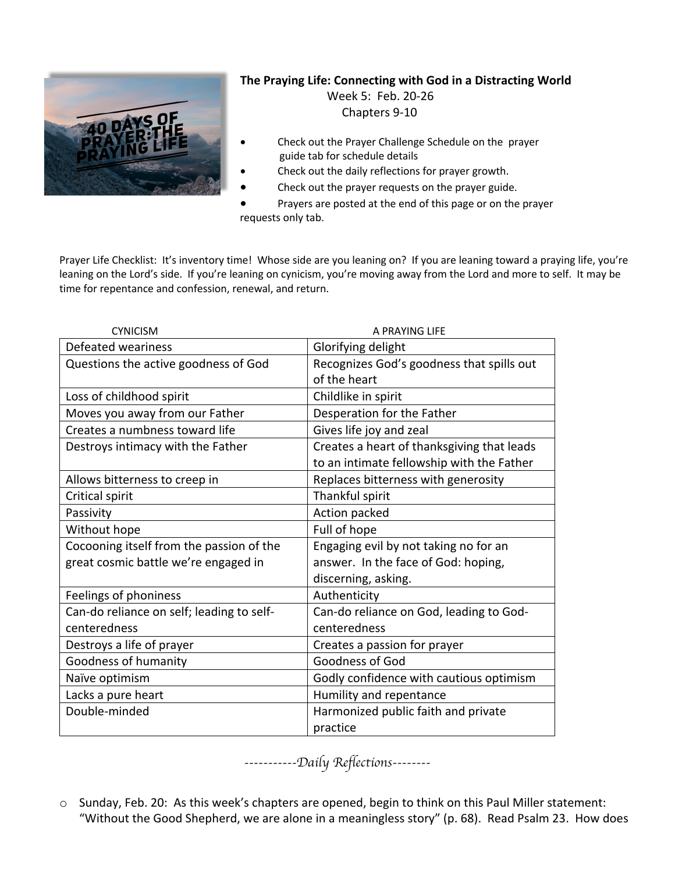

## **The Praying Life: Connecting with God in a Distracting World**

 Week 5: Feb. 20-26 Chapters 9-10

- Check out the Prayer Challenge Schedule on the prayer guide tab for schedule details
- Check out the daily reflections for prayer growth.
- Check out the prayer requests on the prayer guide.
- Prayers are posted at the end of this page or on the prayer requests only tab.

Prayer Life Checklist: It's inventory time! Whose side are you leaning on? If you are leaning toward a praying life, you're leaning on the Lord's side. If you're leaning on cynicism, you're moving away from the Lord and more to self. It may be time for repentance and confession, renewal, and return.

| <b>CYNICISM</b>                           | A PRAYING LIFF                             |
|-------------------------------------------|--------------------------------------------|
| Defeated weariness                        | Glorifying delight                         |
| Questions the active goodness of God      | Recognizes God's goodness that spills out  |
|                                           | of the heart                               |
| Loss of childhood spirit                  | Childlike in spirit                        |
| Moves you away from our Father            | Desperation for the Father                 |
| Creates a numbness toward life            | Gives life joy and zeal                    |
| Destroys intimacy with the Father         | Creates a heart of thanksgiving that leads |
|                                           | to an intimate fellowship with the Father  |
| Allows bitterness to creep in             | Replaces bitterness with generosity        |
| Critical spirit                           | Thankful spirit                            |
| Passivity                                 | Action packed                              |
| Without hope                              | Full of hope                               |
| Cocooning itself from the passion of the  | Engaging evil by not taking no for an      |
| great cosmic battle we're engaged in      | answer. In the face of God: hoping,        |
|                                           | discerning, asking.                        |
| Feelings of phoniness                     | Authenticity                               |
| Can-do reliance on self; leading to self- | Can-do reliance on God, leading to God-    |
| centeredness                              | centeredness                               |
| Destroys a life of prayer                 | Creates a passion for prayer               |
| Goodness of humanity                      | Goodness of God                            |
| Naïve optimism                            | Godly confidence with cautious optimism    |
| Lacks a pure heart                        | Humility and repentance                    |
| Double-minded                             | Harmonized public faith and private        |
|                                           | practice                                   |

*-----------Daily Reflections--------*

o Sunday, Feb. 20: As this week's chapters are opened, begin to think on this Paul Miller statement: "Without the Good Shepherd, we are alone in a meaningless story" (p. 68). Read Psalm 23. How does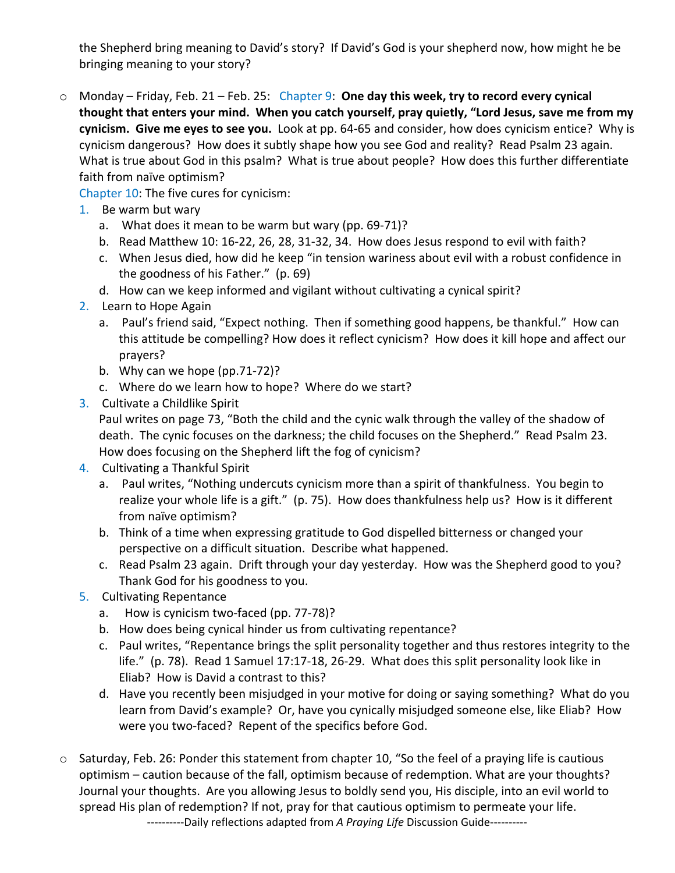the Shepherd bring meaning to David's story? If David's God is your shepherd now, how might he be bringing meaning to your story?

o Monday – Friday, Feb. 21 – Feb. 25: Chapter 9: **One day this week, try to record every cynical thought that enters your mind. When you catch yourself, pray quietly, "Lord Jesus, save me from my cynicism. Give me eyes to see you.** Look at pp. 64-65 and consider, how does cynicism entice? Why is cynicism dangerous? How does it subtly shape how you see God and reality? Read Psalm 23 again. What is true about God in this psalm? What is true about people? How does this further differentiate faith from naïve optimism?

Chapter 10: The five cures for cynicism:

- 1. Be warm but wary
	- a. What does it mean to be warm but wary (pp. 69-71)?
	- b. Read Matthew 10: 16-22, 26, 28, 31-32, 34. How does Jesus respond to evil with faith?
	- c. When Jesus died, how did he keep "in tension wariness about evil with a robust confidence in the goodness of his Father." (p. 69)
	- d. How can we keep informed and vigilant without cultivating a cynical spirit?
- 2. Learn to Hope Again
	- a. Paul's friend said, "Expect nothing. Then if something good happens, be thankful." How can this attitude be compelling? How does it reflect cynicism? How does it kill hope and affect our prayers?
	- b. Why can we hope (pp.71-72)?
	- c. Where do we learn how to hope? Where do we start?
- 3. Cultivate a Childlike Spirit

Paul writes on page 73, "Both the child and the cynic walk through the valley of the shadow of death. The cynic focuses on the darkness; the child focuses on the Shepherd." Read Psalm 23. How does focusing on the Shepherd lift the fog of cynicism?

- 4. Cultivating a Thankful Spirit
	- a. Paul writes, "Nothing undercuts cynicism more than a spirit of thankfulness. You begin to realize your whole life is a gift." (p. 75). How does thankfulness help us? How is it different from naïve optimism?
	- b. Think of a time when expressing gratitude to God dispelled bitterness or changed your perspective on a difficult situation. Describe what happened.
	- c. Read Psalm 23 again. Drift through your day yesterday. How was the Shepherd good to you? Thank God for his goodness to you.
- 5. Cultivating Repentance
	- a. How is cynicism two-faced (pp. 77-78)?
	- b. How does being cynical hinder us from cultivating repentance?
	- c. Paul writes, "Repentance brings the split personality together and thus restores integrity to the life." (p. 78). Read 1 Samuel 17:17-18, 26-29. What does this split personality look like in Eliab? How is David a contrast to this?
	- d. Have you recently been misjudged in your motive for doing or saying something? What do you learn from David's example? Or, have you cynically misjudged someone else, like Eliab? How were you two-faced? Repent of the specifics before God.
- o Saturday, Feb. 26: Ponder this statement from chapter 10, "So the feel of a praying life is cautious optimism – caution because of the fall, optimism because of redemption. What are your thoughts? Journal your thoughts. Are you allowing Jesus to boldly send you, His disciple, into an evil world to spread His plan of redemption? If not, pray for that cautious optimism to permeate your life. ----------Daily reflections adapted from *A Praying Life* Discussion Guide----------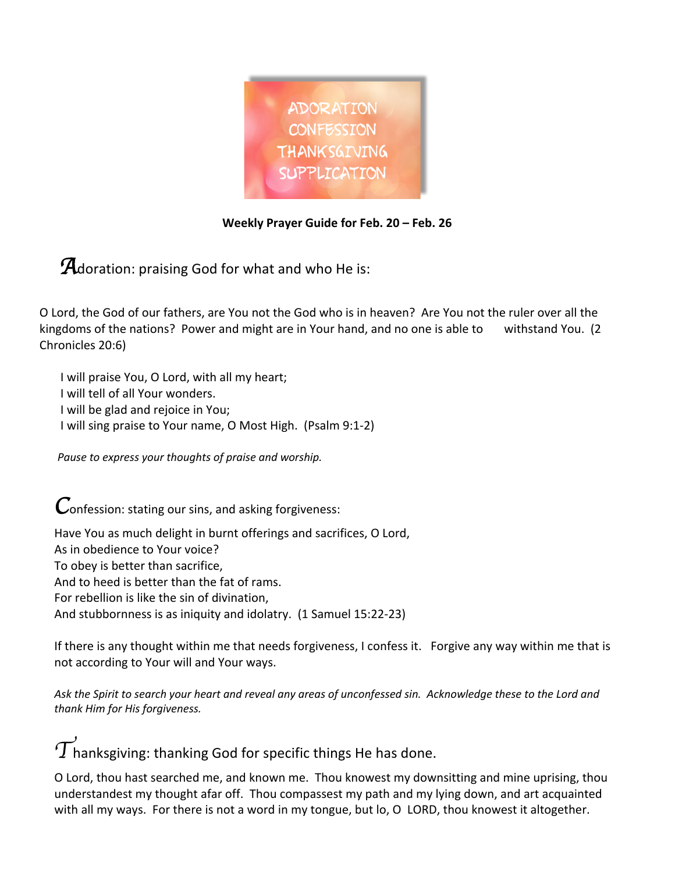

## **Weekly Prayer Guide for Feb. 20 – Feb. 26**

**A**doration: praising God for what and who He is:

O Lord, the God of our fathers, are You not the God who is in heaven? Are You not the ruler over all the kingdoms of the nations? Power and might are in Your hand, and no one is able to withstand You. (2) Chronicles 20:6)

 I will praise You, O Lord, with all my heart; I will tell of all Your wonders. I will be glad and rejoice in You; I will sing praise to Your name, O Most High. (Psalm 9:1-2)

 *Pause to express your thoughts of praise and worship.*

*C*onfession: stating our sins, and asking forgiveness:

Have You as much delight in burnt offerings and sacrifices, O Lord, As in obedience to Your voice? To obey is better than sacrifice, And to heed is better than the fat of rams. For rebellion is like the sin of divination, And stubbornness is as iniquity and idolatry. (1 Samuel 15:22-23)

If there is any thought within me that needs forgiveness, I confess it. Forgive any way within me that is not according to Your will and Your ways.

*Ask the Spirit to search your heart and reveal any areas of unconfessed sin. Acknowledge these to the Lord and thank Him for His forgiveness.* 

 $\widetilde{T}$ hanksgiving: thanking God for specific things He has done.

O Lord, thou hast searched me, and known me. Thou knowest my downsitting and mine uprising, thou understandest my thought afar off. Thou compassest my path and my lying down, and art acquainted with all my ways. For there is not a word in my tongue, but lo, O LORD, thou knowest it altogether.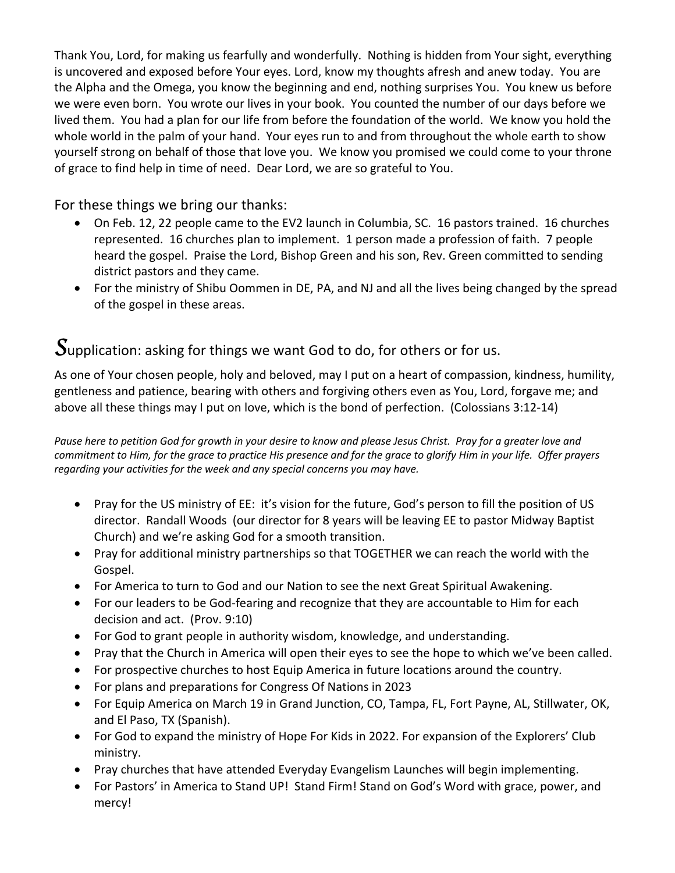Thank You, Lord, for making us fearfully and wonderfully. Nothing is hidden from Your sight, everything is uncovered and exposed before Your eyes. Lord, know my thoughts afresh and anew today. You are the Alpha and the Omega, you know the beginning and end, nothing surprises You. You knew us before we were even born. You wrote our lives in your book. You counted the number of our days before we lived them. You had a plan for our life from before the foundation of the world. We know you hold the whole world in the palm of your hand. Your eyes run to and from throughout the whole earth to show yourself strong on behalf of those that love you. We know you promised we could come to your throne of grace to find help in time of need. Dear Lord, we are so grateful to You.

For these things we bring our thanks:

- On Feb. 12, 22 people came to the EV2 launch in Columbia, SC. 16 pastors trained. 16 churches represented. 16 churches plan to implement. 1 person made a profession of faith. 7 people heard the gospel. Praise the Lord, Bishop Green and his son, Rev. Green committed to sending district pastors and they came.
- For the ministry of Shibu Oommen in DE, PA, and NJ and all the lives being changed by the spread of the gospel in these areas.

## *S*upplication: asking for things we want God to do, for others or for us.

As one of Your chosen people, holy and beloved, may I put on a heart of compassion, kindness, humility, gentleness and patience, bearing with others and forgiving others even as You, Lord, forgave me; and above all these things may I put on love, which is the bond of perfection. (Colossians 3:12-14)

*Pause here to petition God for growth in your desire to know and please Jesus Christ. Pray for a greater love and commitment to Him, for the grace to practice His presence and for the grace to glorify Him in your life. Offer prayers regarding your activities for the week and any special concerns you may have.* 

- Pray for the US ministry of EE: it's vision for the future, God's person to fill the position of US director. Randall Woods (our director for 8 years will be leaving EE to pastor Midway Baptist Church) and we're asking God for a smooth transition.
- Pray for additional ministry partnerships so that TOGETHER we can reach the world with the Gospel.
- For America to turn to God and our Nation to see the next Great Spiritual Awakening.
- For our leaders to be God-fearing and recognize that they are accountable to Him for each decision and act. (Prov. 9:10)
- For God to grant people in authority wisdom, knowledge, and understanding.
- Pray that the Church in America will open their eyes to see the hope to which we've been called.
- For prospective churches to host Equip America in future locations around the country.
- For plans and preparations for Congress Of Nations in 2023
- For Equip America on March 19 in Grand Junction, CO, Tampa, FL, Fort Payne, AL, Stillwater, OK, and El Paso, TX (Spanish).
- For God to expand the ministry of Hope For Kids in 2022. For expansion of the Explorers' Club ministry.
- Pray churches that have attended Everyday Evangelism Launches will begin implementing.
- For Pastors' in America to Stand UP! Stand Firm! Stand on God's Word with grace, power, and mercy!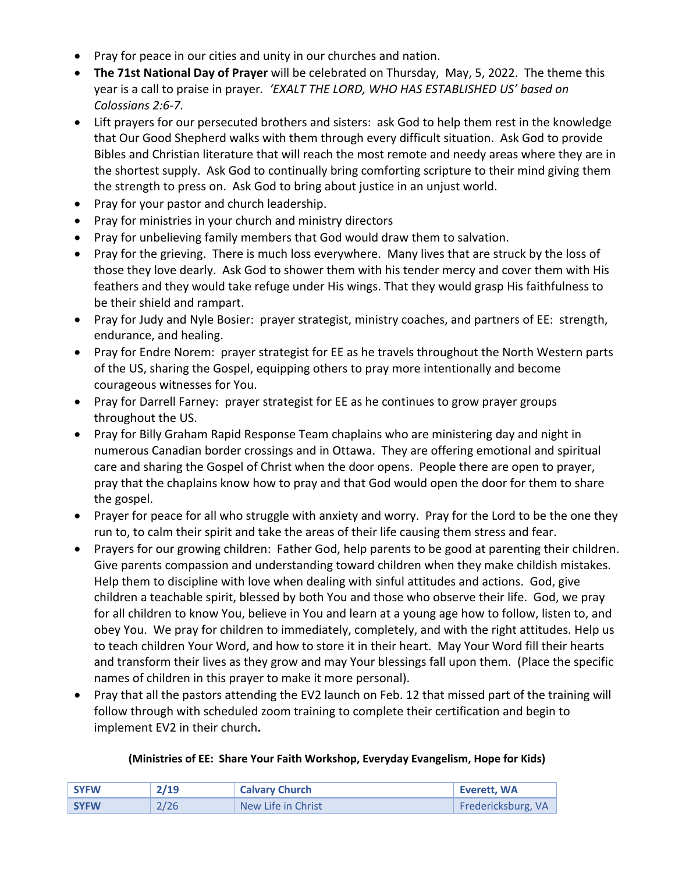- Pray for peace in our cities and unity in our churches and nation.
- **The 71st National Day of Prayer** will be celebrated on Thursday, May, 5, 2022. The theme this year is a call to praise in prayer*. 'EXALT THE LORD, WHO HAS ESTABLISHED US' based on Colossians 2:6-7.*
- Lift prayers for our persecuted brothers and sisters: ask God to help them rest in the knowledge that Our Good Shepherd walks with them through every difficult situation. Ask God to provide Bibles and Christian literature that will reach the most remote and needy areas where they are in the shortest supply. Ask God to continually bring comforting scripture to their mind giving them the strength to press on. Ask God to bring about justice in an unjust world.
- Pray for your pastor and church leadership.
- Pray for ministries in your church and ministry directors
- Pray for unbelieving family members that God would draw them to salvation.
- Pray for the grieving. There is much loss everywhere. Many lives that are struck by the loss of those they love dearly. Ask God to shower them with his tender mercy and cover them with His feathers and they would take refuge under His wings. That they would grasp His faithfulness to be their shield and rampart.
- Pray for Judy and Nyle Bosier: prayer strategist, ministry coaches, and partners of EE: strength, endurance, and healing.
- Pray for Endre Norem: prayer strategist for EE as he travels throughout the North Western parts of the US, sharing the Gospel, equipping others to pray more intentionally and become courageous witnesses for You.
- Pray for Darrell Farney: prayer strategist for EE as he continues to grow prayer groups throughout the US.
- Pray for Billy Graham Rapid Response Team chaplains who are ministering day and night in numerous Canadian border crossings and in Ottawa. They are offering emotional and spiritual care and sharing the Gospel of Christ when the door opens. People there are open to prayer, pray that the chaplains know how to pray and that God would open the door for them to share the gospel.
- Prayer for peace for all who struggle with anxiety and worry. Pray for the Lord to be the one they run to, to calm their spirit and take the areas of their life causing them stress and fear.
- Prayers for our growing children: Father God, help parents to be good at parenting their children. Give parents compassion and understanding toward children when they make childish mistakes. Help them to discipline with love when dealing with sinful attitudes and actions. God, give children a teachable spirit, blessed by both You and those who observe their life. God, we pray for all children to know You, believe in You and learn at a young age how to follow, listen to, and obey You. We pray for children to immediately, completely, and with the right attitudes. Help us to teach children Your Word, and how to store it in their heart. May Your Word fill their hearts and transform their lives as they grow and may Your blessings fall upon them. (Place the specific names of children in this prayer to make it more personal).
- Pray that all the pastors attending the EV2 launch on Feb. 12 that missed part of the training will follow through with scheduled zoom training to complete their certification and begin to implement EV2 in their church**.**

## **(Ministries of EE: Share Your Faith Workshop, Everyday Evangelism, Hope for Kids)**

| <b>SYFW</b> | 2/19 | <b>Calvary Church</b> | Everett, WA        |
|-------------|------|-----------------------|--------------------|
| <b>SYFW</b> | 2/26 | New Life in Christ    | Fredericksburg, VA |